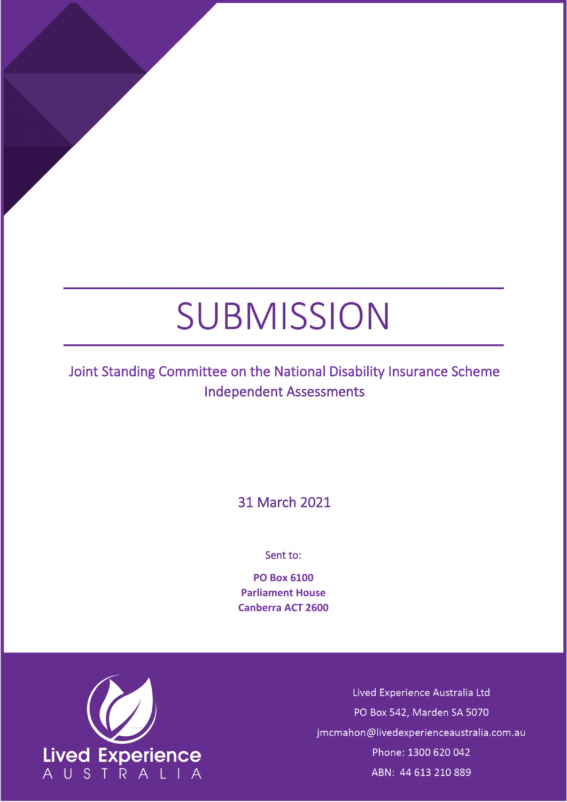# SUBMISSION

## Joint Standing Committee on the National Disability Insurance Scheme Independent Assessments

31 March 2021

Sent to:

**PO Box 6100 Parliament House Canberra ACT 2600**



Lived Experience Australia Ltd PO Box 542, Marden SA 5070 jmcmahon@livedexperienceaustralia.com.au Phone: 1300 620 042 ABN: 44 613 210 889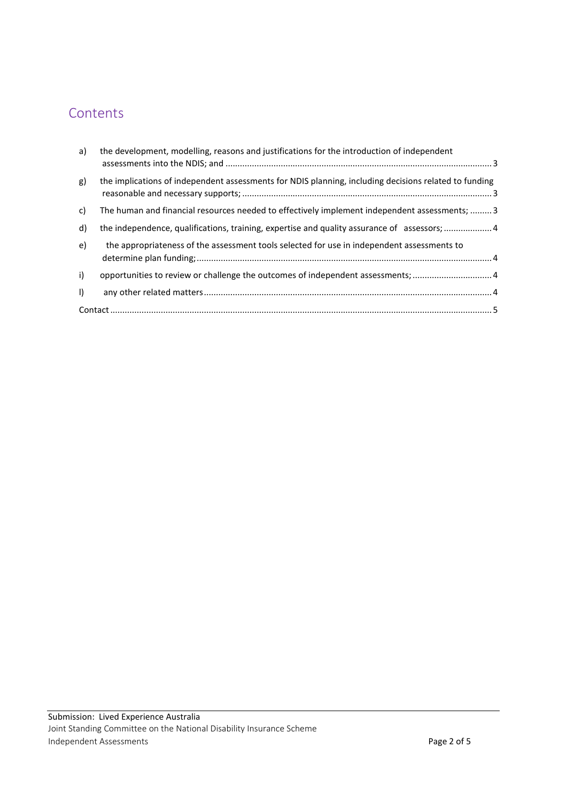### Contents

| a)      | the development, modelling, reasons and justifications for the introduction of independent            |  |
|---------|-------------------------------------------------------------------------------------------------------|--|
| g)      | the implications of independent assessments for NDIS planning, including decisions related to funding |  |
| c)      | The human and financial resources needed to effectively implement independent assessments;  3         |  |
| d)      | the independence, qualifications, training, expertise and quality assurance of assessors; 4           |  |
| e)      | the appropriateness of the assessment tools selected for use in independent assessments to            |  |
| i)      | opportunities to review or challenge the outcomes of independent assessments; 4                       |  |
| $\vert$ |                                                                                                       |  |
|         |                                                                                                       |  |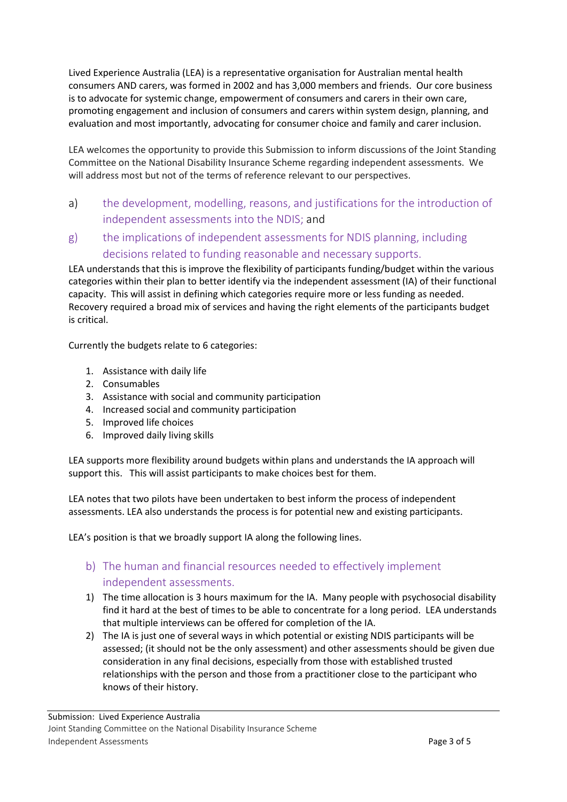Lived Experience Australia (LEA) is a representative organisation for Australian mental health consumers AND carers, was formed in 2002 and has 3,000 members and friends. Our core business is to advocate for systemic change, empowerment of consumers and carers in their own care, promoting engagement and inclusion of consumers and carers within system design, planning, and evaluation and most importantly, advocating for consumer choice and family and carer inclusion.

LEA welcomes the opportunity to provide this Submission to inform discussions of the Joint Standing Committee on the National Disability Insurance Scheme regarding independent assessments. We will address most but not of the terms of reference relevant to our perspectives.

- <span id="page-2-0"></span>a) the development, modelling, reasons, and justifications for the introduction of independent assessments into the NDIS; and
- <span id="page-2-1"></span>g) the implications of independent assessments for NDIS planning, including decisions related to funding reasonable and necessary supports.

LEA understands that this is improve the flexibility of participants funding/budget within the various categories within their plan to better identify via the independent assessment (IA) of their functional capacity. This will assist in defining which categories require more or less funding as needed. Recovery required a broad mix of services and having the right elements of the participants budget is critical.

Currently the budgets relate to 6 categories:

- 1. Assistance with daily life
- 2. Consumables
- 3. Assistance with social and community participation
- 4. Increased social and community participation
- 5. Improved life choices
- 6. Improved daily living skills

LEA supports more flexibility around budgets within plans and understands the IA approach will support this. This will assist participants to make choices best for them.

LEA notes that two pilots have been undertaken to best inform the process of independent assessments. LEA also understands the process is for potential new and existing participants.

LEA's position is that we broadly support IA along the following lines.

#### <span id="page-2-2"></span>b) The human and financial resources needed to effectively implement independent assessments.

- 1) The time allocation is 3 hours maximum for the IA. Many people with psychosocial disability find it hard at the best of times to be able to concentrate for a long period. LEA understands that multiple interviews can be offered for completion of the IA.
- 2) The IA is just one of several ways in which potential or existing NDIS participants will be assessed; (it should not be the only assessment) and other assessments should be given due consideration in any final decisions, especially from those with established trusted relationships with the person and those from a practitioner close to the participant who knows of their history.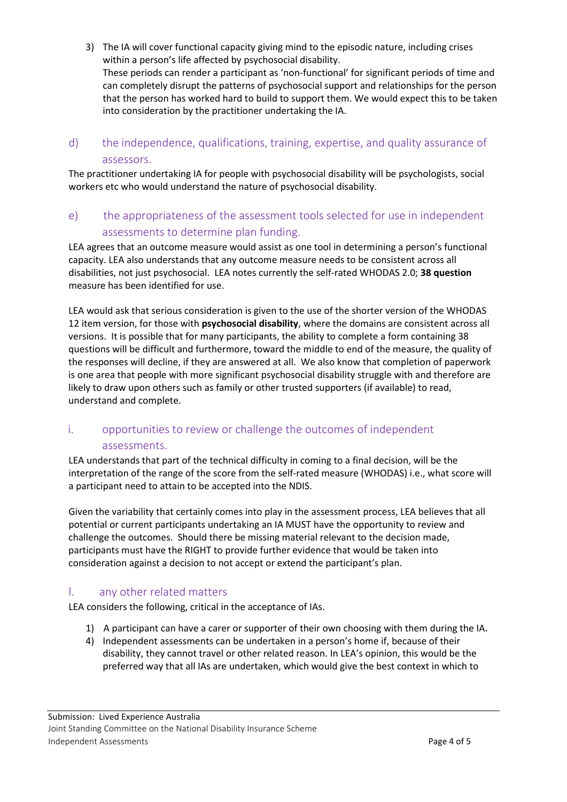- 3) The IA will cover functional capacity giving mind to the episodic nature, including crises within a person's life affected by psychosocial disability. These periods can render a participant as 'non-functional' for significant periods of time and can completely disrupt the patterns of psychosocial support and relationships for the person that the person has worked hard to build to support them. We would expect this to be taken into consideration by the practitioner undertaking the IA.
- <span id="page-3-0"></span>d) the independence, qualifications, training, expertise, and quality assurance of assessors.

The practitioner undertaking IA for people with psychosocial disability will be psychologists, social workers etc who would understand the nature of psychosocial disability.

<span id="page-3-1"></span>e) the appropriateness of the assessment tools selected for use in independent assessments to determine plan funding.

LEA agrees that an outcome measure would assist as one tool in determining a person's functional capacity. LEA also understands that any outcome measure needs to be consistent across all disabilities, not just psychosocial. LEA notes currently the self-rated WHODAS 2.0; **38 question** measure has been identified for use.

LEA would ask that serious consideration is given to the use of the shorter version of the WHODAS 12 item version, for those with **psychosocial disability**, where the domains are consistent across all versions. It is possible that for many participants, the ability to complete a form containing 38 questions will be difficult and furthermore, toward the middle to end of the measure, the quality of the responses will decline, if they are answered at all. We also know that completion of paperwork is one area that people with more significant psychosocial disability struggle with and therefore are likely to draw upon others such as family or other trusted supporters (if available) to read, understand and complete.

#### <span id="page-3-2"></span>i. opportunities to review or challenge the outcomes of independent assessments.

LEA understands that part of the technical difficulty in coming to a final decision, will be the interpretation of the range of the score from the self-rated measure (WHODAS) i.e., what score will a participant need to attain to be accepted into the NDIS.

Given the variability that certainly comes into play in the assessment process, LEA believes that all potential or current participants undertaking an IA MUST have the opportunity to review and challenge the outcomes. Should there be missing material relevant to the decision made, participants must have the RIGHT to provide further evidence that would be taken into consideration against a decision to not accept or extend the participant's plan.

#### <span id="page-3-3"></span>l. any other related matters

LEA considers the following, critical in the acceptance of IAs.

- 1) A participant can have a carer or supporter of their own choosing with them during the IA.
- 4) Independent assessments can be undertaken in a person's home if, because of their disability, they cannot travel or other related reason. In LEA's opinion, this would be the preferred way that all IAs are undertaken, which would give the best context in which to